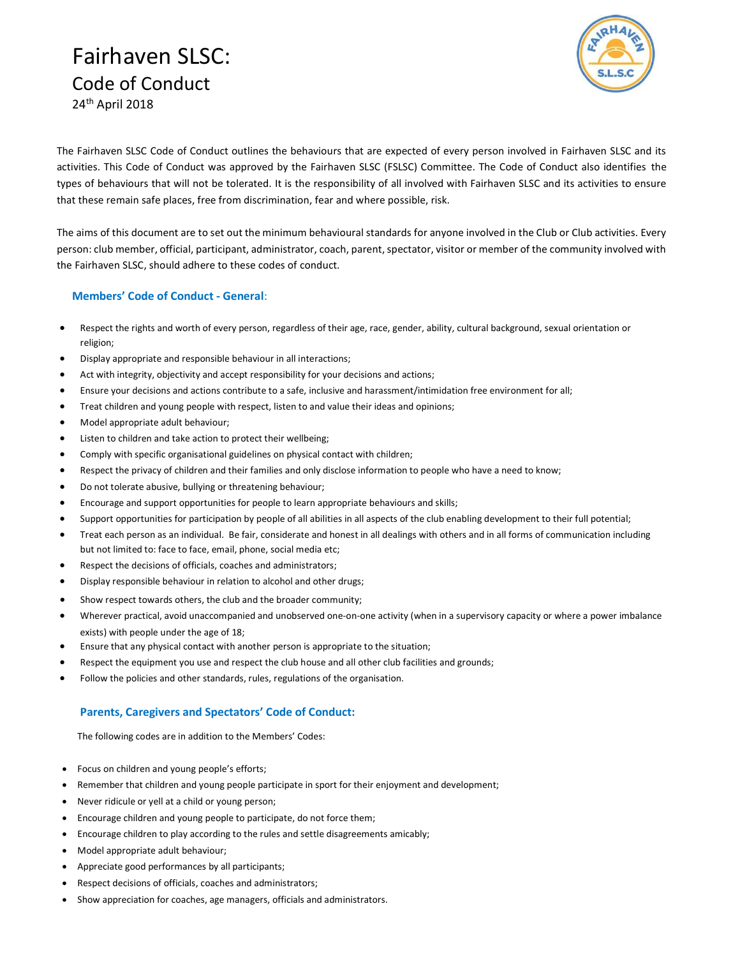# Fairhaven SLSC: Code of Conduct 24th April 2018



The Fairhaven SLSC Code of Conduct outlines the behaviours that are expected of every person involved in Fairhaven SLSC and its activities. This Code of Conduct was approved by the Fairhaven SLSC (FSLSC) Committee. The Code of Conduct also identifies the types of behaviours that will not be tolerated. It is the responsibility of all involved with Fairhaven SLSC and its activities to ensure that these remain safe places, free from discrimination, fear and where possible, risk.

The aims of this document are to set out the minimum behavioural standards for anyone involved in the Club or Club activities. Every person: club member, official, participant, administrator, coach, parent, spectator, visitor or member of the community involved with the Fairhaven SLSC, should adhere to these codes of conduct.

#### Members' Code of Conduct - General:

- Respect the rights and worth of every person, regardless of their age, race, gender, ability, cultural background, sexual orientation or religion;
- Display appropriate and responsible behaviour in all interactions;
- Act with integrity, objectivity and accept responsibility for your decisions and actions;
- Ensure your decisions and actions contribute to a safe, inclusive and harassment/intimidation free environment for all;
- Treat children and young people with respect, listen to and value their ideas and opinions;
- Model appropriate adult behaviour;
- Listen to children and take action to protect their wellbeing;
- Comply with specific organisational guidelines on physical contact with children;
- Respect the privacy of children and their families and only disclose information to people who have a need to know;
- Do not tolerate abusive, bullying or threatening behaviour;
- Encourage and support opportunities for people to learn appropriate behaviours and skills;
- Support opportunities for participation by people of all abilities in all aspects of the club enabling development to their full potential;
- Treat each person as an individual. Be fair, considerate and honest in all dealings with others and in all forms of communication including but not limited to: face to face, email, phone, social media etc;
- Respect the decisions of officials, coaches and administrators;
- Display responsible behaviour in relation to alcohol and other drugs;
- Show respect towards others, the club and the broader community;
- Wherever practical, avoid unaccompanied and unobserved one-on-one activity (when in a supervisory capacity or where a power imbalance exists) with people under the age of 18;
- Ensure that any physical contact with another person is appropriate to the situation;
- Respect the equipment you use and respect the club house and all other club facilities and grounds;
- Follow the policies and other standards, rules, regulations of the organisation.

### Parents, Caregivers and Spectators' Code of Conduct:

The following codes are in addition to the Members' Codes:

- Focus on children and young people's efforts;
- Remember that children and young people participate in sport for their enjoyment and development;
- Never ridicule or yell at a child or young person;
- Encourage children and young people to participate, do not force them;
- Encourage children to play according to the rules and settle disagreements amicably;
- Model appropriate adult behaviour;
- Appreciate good performances by all participants;
- Respect decisions of officials, coaches and administrators;
- Show appreciation for coaches, age managers, officials and administrators.